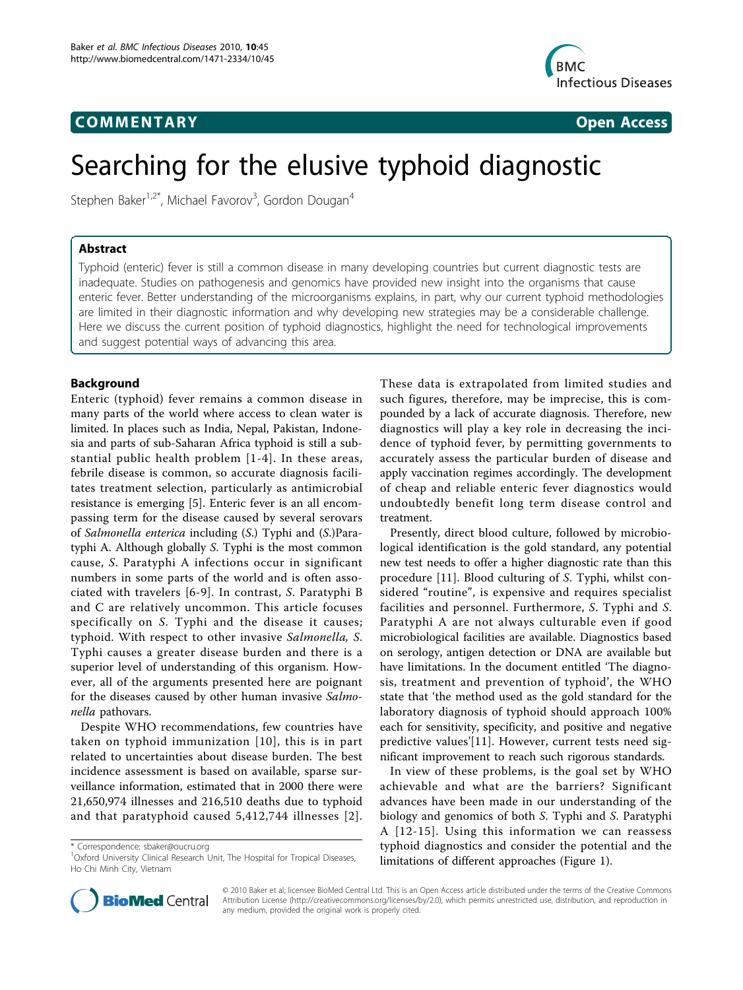## **COMMENTARY COMMENTARY Open Access**



# Searching for the elusive typhoid diagnostic

Stephen Baker<sup>1,2\*</sup>, Michael Favorov<sup>3</sup>, Gordon Dougan<sup>4</sup>

## Abstract

Typhoid (enteric) fever is still a common disease in many developing countries but current diagnostic tests are inadequate. Studies on pathogenesis and genomics have provided new insight into the organisms that cause enteric fever. Better understanding of the microorganisms explains, in part, why our current typhoid methodologies are limited in their diagnostic information and why developing new strategies may be a considerable challenge. Here we discuss the current position of typhoid diagnostics, highlight the need for technological improvements and suggest potential ways of advancing this area.

## Background

Enteric (typhoid) fever remains a common disease in many parts of the world where access to clean water is limited. In places such as India, Nepal, Pakistan, Indonesia and parts of sub-Saharan Africa typhoid is still a substantial public health problem [[1](#page-6-0)-[4](#page-6-0)]. In these areas, febrile disease is common, so accurate diagnosis facilitates treatment selection, particularly as antimicrobial resistance is emerging [\[5](#page-6-0)]. Enteric fever is an all encompassing term for the disease caused by several serovars of Salmonella enterica including (S.) Typhi and (S.)Paratyphi A. Although globally S. Typhi is the most common cause, S. Paratyphi A infections occur in significant numbers in some parts of the world and is often associated with travelers [[6](#page-6-0)-[9](#page-6-0)]. In contrast, S. Paratyphi B and C are relatively uncommon. This article focuses specifically on S. Typhi and the disease it causes; typhoid. With respect to other invasive Salmonella, S. Typhi causes a greater disease burden and there is a superior level of understanding of this organism. However, all of the arguments presented here are poignant for the diseases caused by other human invasive Salmonella pathovars.

Despite WHO recommendations, few countries have taken on typhoid immunization [[10\]](#page-6-0), this is in part related to uncertainties about disease burden. The best incidence assessment is based on available, sparse surveillance information, estimated that in 2000 there were 21,650,974 illnesses and 216,510 deaths due to typhoid and that paratyphoid caused 5,412,744 illnesses [[2\]](#page-6-0).

\* Correspondence: [sbaker@oucru.org](mailto:sbaker@oucru.org)

<sup>1</sup>Oxford University Clinical Research Unit, The Hospital for Tropical Diseases, Ho Chi Minh City, Vietnam

These data is extrapolated from limited studies and such figures, therefore, may be imprecise, this is compounded by a lack of accurate diagnosis. Therefore, new diagnostics will play a key role in decreasing the incidence of typhoid fever, by permitting governments to accurately assess the particular burden of disease and apply vaccination regimes accordingly. The development of cheap and reliable enteric fever diagnostics would undoubtedly benefit long term disease control and treatment.

Presently, direct blood culture, followed by microbiological identification is the gold standard, any potential new test needs to offer a higher diagnostic rate than this procedure [\[11](#page-6-0)]. Blood culturing of S. Typhi, whilst considered "routine", is expensive and requires specialist facilities and personnel. Furthermore, S. Typhi and S. Paratyphi A are not always culturable even if good microbiological facilities are available. Diagnostics based on serology, antigen detection or DNA are available but have limitations. In the document entitled 'The diagnosis, treatment and prevention of typhoid', the WHO state that 'the method used as the gold standard for the laboratory diagnosis of typhoid should approach 100% each for sensitivity, specificity, and positive and negative predictive values'[[11\]](#page-6-0). However, current tests need significant improvement to reach such rigorous standards.

In view of these problems, is the goal set by WHO achievable and what are the barriers? Significant advances have been made in our understanding of the biology and genomics of both S. Typhi and S. Paratyphi A [[12](#page-6-0)-[15\]](#page-6-0). Using this information we can reassess typhoid diagnostics and consider the potential and the limitations of different approaches (Figure [1\)](#page-1-0).



© 2010 Baker et al; licensee BioMed Central Ltd. This is an Open Access article distributed under the terms of the Creative Commons Attribution License [\(http://creativecommons.org/licenses/by/2.0](http://creativecommons.org/licenses/by/2.0)), which permits unrestricted use, distribution, and reproduction in any medium, provided the original work is properly cited.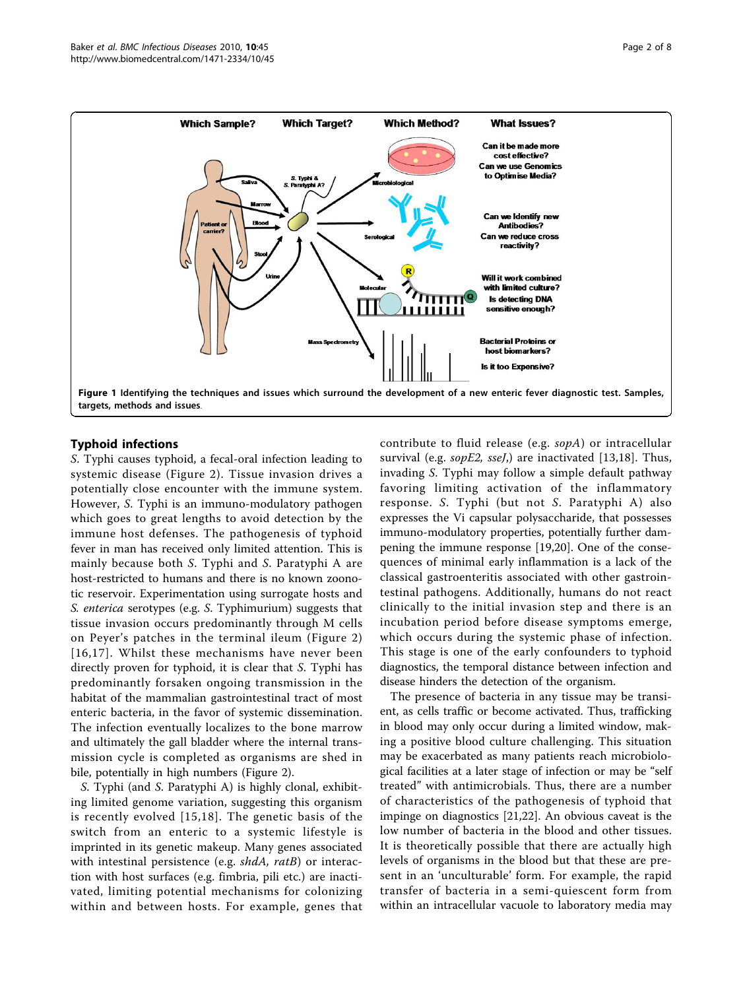<span id="page-1-0"></span>

## Typhoid infections

S. Typhi causes typhoid, a fecal-oral infection leading to systemic disease (Figure [2](#page-2-0)). Tissue invasion drives a potentially close encounter with the immune system. However, S. Typhi is an immuno-modulatory pathogen which goes to great lengths to avoid detection by the immune host defenses. The pathogenesis of typhoid fever in man has received only limited attention. This is mainly because both S. Typhi and S. Paratyphi A are host-restricted to humans and there is no known zoonotic reservoir. Experimentation using surrogate hosts and S. enterica serotypes (e.g. S. Typhimurium) suggests that tissue invasion occurs predominantly through M cells on Peyer's patches in the terminal ileum (Figure [2](#page-2-0)) [[16](#page-6-0),[17](#page-6-0)]. Whilst these mechanisms have never been directly proven for typhoid, it is clear that S. Typhi has predominantly forsaken ongoing transmission in the habitat of the mammalian gastrointestinal tract of most enteric bacteria, in the favor of systemic dissemination. The infection eventually localizes to the bone marrow and ultimately the gall bladder where the internal transmission cycle is completed as organisms are shed in bile, potentially in high numbers (Figure [2\)](#page-2-0).

S. Typhi (and S. Paratyphi A) is highly clonal, exhibiting limited genome variation, suggesting this organism is recently evolved [[15,18](#page-6-0)]. The genetic basis of the switch from an enteric to a systemic lifestyle is imprinted in its genetic makeup. Many genes associated with intestinal persistence (e.g. shdA, ratB) or interaction with host surfaces (e.g. fimbria, pili etc.) are inactivated, limiting potential mechanisms for colonizing within and between hosts. For example, genes that contribute to fluid release (e.g. sopA) or intracellular survival (e.g.  $sopE2$ ,  $ssel$ ) are inactivated [\[13,18\]](#page-6-0). Thus, invading S. Typhi may follow a simple default pathway favoring limiting activation of the inflammatory response. S. Typhi (but not S. Paratyphi A) also expresses the Vi capsular polysaccharide, that possesses immuno-modulatory properties, potentially further dampening the immune response [\[19](#page-6-0),[20](#page-6-0)]. One of the consequences of minimal early inflammation is a lack of the classical gastroenteritis associated with other gastrointestinal pathogens. Additionally, humans do not react clinically to the initial invasion step and there is an incubation period before disease symptoms emerge, which occurs during the systemic phase of infection. This stage is one of the early confounders to typhoid diagnostics, the temporal distance between infection and disease hinders the detection of the organism.

The presence of bacteria in any tissue may be transient, as cells traffic or become activated. Thus, trafficking in blood may only occur during a limited window, making a positive blood culture challenging. This situation may be exacerbated as many patients reach microbiological facilities at a later stage of infection or may be "self treated" with antimicrobials. Thus, there are a number of characteristics of the pathogenesis of typhoid that impinge on diagnostics [[21](#page-6-0),[22](#page-6-0)]. An obvious caveat is the low number of bacteria in the blood and other tissues. It is theoretically possible that there are actually high levels of organisms in the blood but that these are present in an 'unculturable' form. For example, the rapid transfer of bacteria in a semi-quiescent form from within an intracellular vacuole to laboratory media may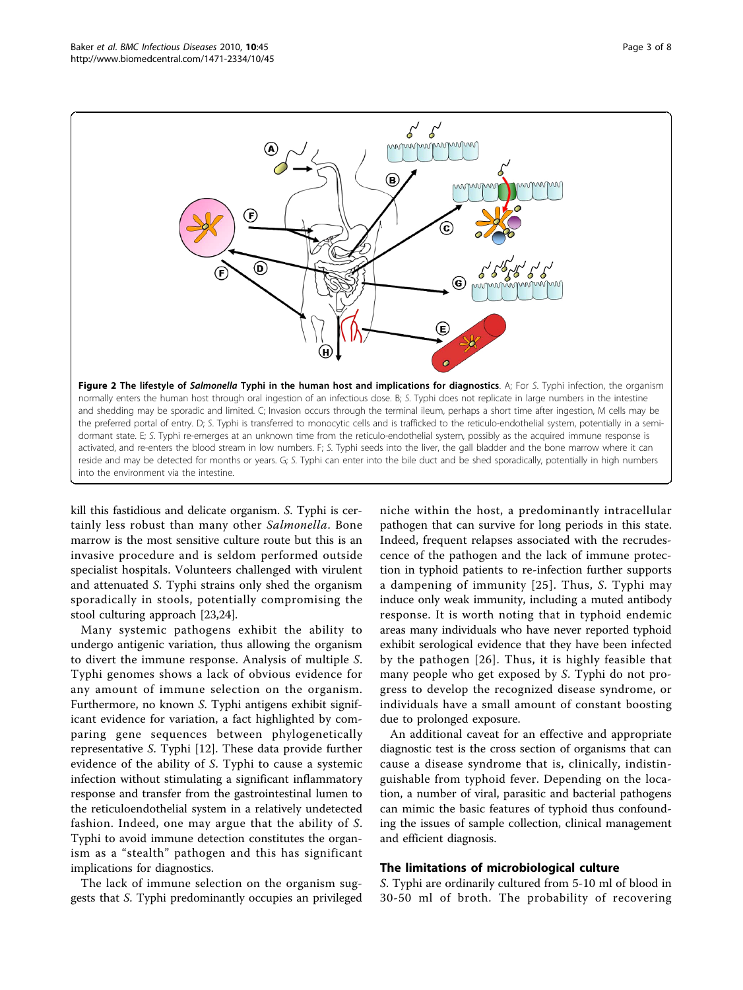<span id="page-2-0"></span>

kill this fastidious and delicate organism. S. Typhi is certainly less robust than many other Salmonella. Bone marrow is the most sensitive culture route but this is an invasive procedure and is seldom performed outside specialist hospitals. Volunteers challenged with virulent and attenuated S. Typhi strains only shed the organism sporadically in stools, potentially compromising the stool culturing approach [[23](#page-6-0),[24](#page-6-0)].

Many systemic pathogens exhibit the ability to undergo antigenic variation, thus allowing the organism to divert the immune response. Analysis of multiple S. Typhi genomes shows a lack of obvious evidence for any amount of immune selection on the organism. Furthermore, no known S. Typhi antigens exhibit significant evidence for variation, a fact highlighted by comparing gene sequences between phylogenetically representative S. Typhi [[12\]](#page-6-0). These data provide further evidence of the ability of S. Typhi to cause a systemic infection without stimulating a significant inflammatory response and transfer from the gastrointestinal lumen to the reticuloendothelial system in a relatively undetected fashion. Indeed, one may argue that the ability of S. Typhi to avoid immune detection constitutes the organism as a "stealth" pathogen and this has significant implications for diagnostics.

The lack of immune selection on the organism suggests that S. Typhi predominantly occupies an privileged

niche within the host, a predominantly intracellular pathogen that can survive for long periods in this state. Indeed, frequent relapses associated with the recrudescence of the pathogen and the lack of immune protection in typhoid patients to re-infection further supports a dampening of immunity [[25](#page-6-0)]. Thus, S. Typhi may induce only weak immunity, including a muted antibody response. It is worth noting that in typhoid endemic areas many individuals who have never reported typhoid exhibit serological evidence that they have been infected by the pathogen [[26\]](#page-6-0). Thus, it is highly feasible that many people who get exposed by S. Typhi do not progress to develop the recognized disease syndrome, or individuals have a small amount of constant boosting due to prolonged exposure.

An additional caveat for an effective and appropriate diagnostic test is the cross section of organisms that can cause a disease syndrome that is, clinically, indistinguishable from typhoid fever. Depending on the location, a number of viral, parasitic and bacterial pathogens can mimic the basic features of typhoid thus confounding the issues of sample collection, clinical management and efficient diagnosis.

## The limitations of microbiological culture

S. Typhi are ordinarily cultured from 5-10 ml of blood in 30-50 ml of broth. The probability of recovering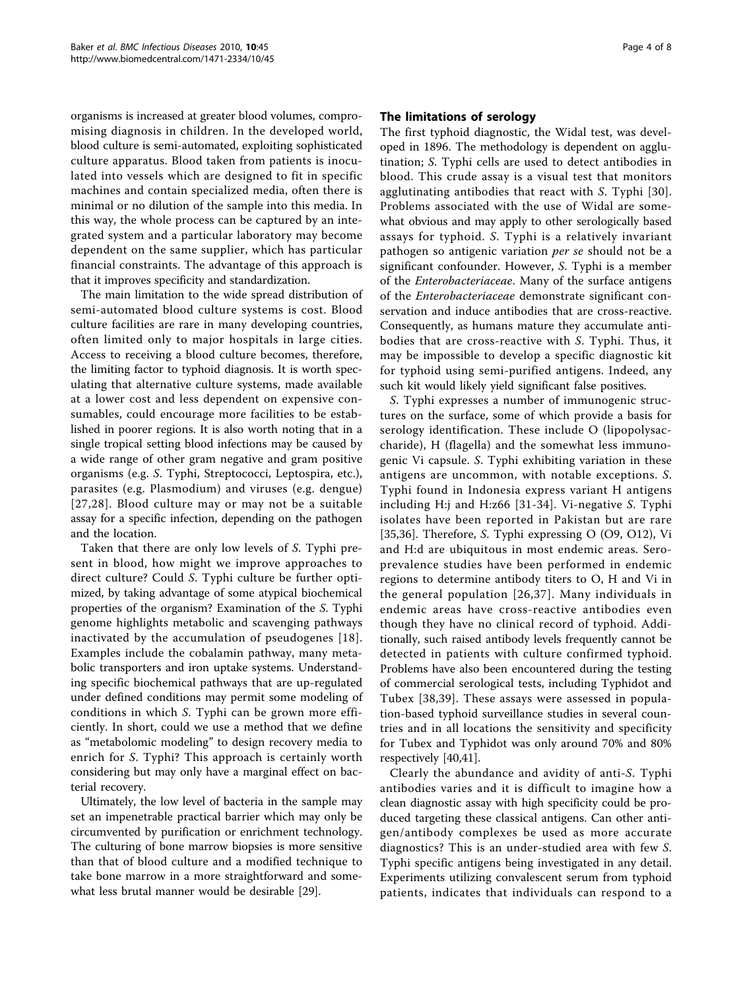organisms is increased at greater blood volumes, compromising diagnosis in children. In the developed world, blood culture is semi-automated, exploiting sophisticated culture apparatus. Blood taken from patients is inoculated into vessels which are designed to fit in specific machines and contain specialized media, often there is minimal or no dilution of the sample into this media. In this way, the whole process can be captured by an integrated system and a particular laboratory may become dependent on the same supplier, which has particular financial constraints. The advantage of this approach is that it improves specificity and standardization.

The main limitation to the wide spread distribution of semi-automated blood culture systems is cost. Blood culture facilities are rare in many developing countries, often limited only to major hospitals in large cities. Access to receiving a blood culture becomes, therefore, the limiting factor to typhoid diagnosis. It is worth speculating that alternative culture systems, made available at a lower cost and less dependent on expensive consumables, could encourage more facilities to be established in poorer regions. It is also worth noting that in a single tropical setting blood infections may be caused by a wide range of other gram negative and gram positive organisms (e.g. S. Typhi, Streptococci, Leptospira, etc.), parasites (e.g. Plasmodium) and viruses (e.g. dengue) [[27,28\]](#page-6-0). Blood culture may or may not be a suitable assay for a specific infection, depending on the pathogen and the location.

Taken that there are only low levels of S. Typhi present in blood, how might we improve approaches to direct culture? Could S. Typhi culture be further optimized, by taking advantage of some atypical biochemical properties of the organism? Examination of the S. Typhi genome highlights metabolic and scavenging pathways inactivated by the accumulation of pseudogenes [[18\]](#page-6-0). Examples include the cobalamin pathway, many metabolic transporters and iron uptake systems. Understanding specific biochemical pathways that are up-regulated under defined conditions may permit some modeling of conditions in which S. Typhi can be grown more efficiently. In short, could we use a method that we define as "metabolomic modeling" to design recovery media to enrich for S. Typhi? This approach is certainly worth considering but may only have a marginal effect on bacterial recovery.

Ultimately, the low level of bacteria in the sample may set an impenetrable practical barrier which may only be circumvented by purification or enrichment technology. The culturing of bone marrow biopsies is more sensitive than that of blood culture and a modified technique to take bone marrow in a more straightforward and somewhat less brutal manner would be desirable [\[29](#page-6-0)].

#### The limitations of serology

The first typhoid diagnostic, the Widal test, was developed in 1896. The methodology is dependent on agglutination; S. Typhi cells are used to detect antibodies in blood. This crude assay is a visual test that monitors agglutinating antibodies that react with S. Typhi [[30](#page-6-0)]. Problems associated with the use of Widal are somewhat obvious and may apply to other serologically based assays for typhoid. S. Typhi is a relatively invariant pathogen so antigenic variation per se should not be a significant confounder. However, S. Typhi is a member of the Enterobacteriaceae. Many of the surface antigens of the Enterobacteriaceae demonstrate significant conservation and induce antibodies that are cross-reactive. Consequently, as humans mature they accumulate antibodies that are cross-reactive with S. Typhi. Thus, it may be impossible to develop a specific diagnostic kit for typhoid using semi-purified antigens. Indeed, any such kit would likely yield significant false positives.

S. Typhi expresses a number of immunogenic structures on the surface, some of which provide a basis for serology identification. These include O (lipopolysaccharide), H (flagella) and the somewhat less immunogenic Vi capsule. S. Typhi exhibiting variation in these antigens are uncommon, with notable exceptions. S. Typhi found in Indonesia express variant H antigens including H:j and H:z66 [\[31-34\]](#page-6-0). Vi-negative S. Typhi isolates have been reported in Pakistan but are rare [[35,](#page-6-0)[36](#page-7-0)]. Therefore, S. Typhi expressing O (O9, O12), Vi and H:d are ubiquitous in most endemic areas. Seroprevalence studies have been performed in endemic regions to determine antibody titers to O, H and Vi in the general population [[26,](#page-6-0)[37\]](#page-7-0). Many individuals in endemic areas have cross-reactive antibodies even though they have no clinical record of typhoid. Additionally, such raised antibody levels frequently cannot be detected in patients with culture confirmed typhoid. Problems have also been encountered during the testing of commercial serological tests, including Typhidot and Tubex [[38](#page-7-0),[39](#page-7-0)]. These assays were assessed in population-based typhoid surveillance studies in several countries and in all locations the sensitivity and specificity for Tubex and Typhidot was only around 70% and 80% respectively [\[40,41\]](#page-7-0).

Clearly the abundance and avidity of anti-S. Typhi antibodies varies and it is difficult to imagine how a clean diagnostic assay with high specificity could be produced targeting these classical antigens. Can other antigen/antibody complexes be used as more accurate diagnostics? This is an under-studied area with few S. Typhi specific antigens being investigated in any detail. Experiments utilizing convalescent serum from typhoid patients, indicates that individuals can respond to a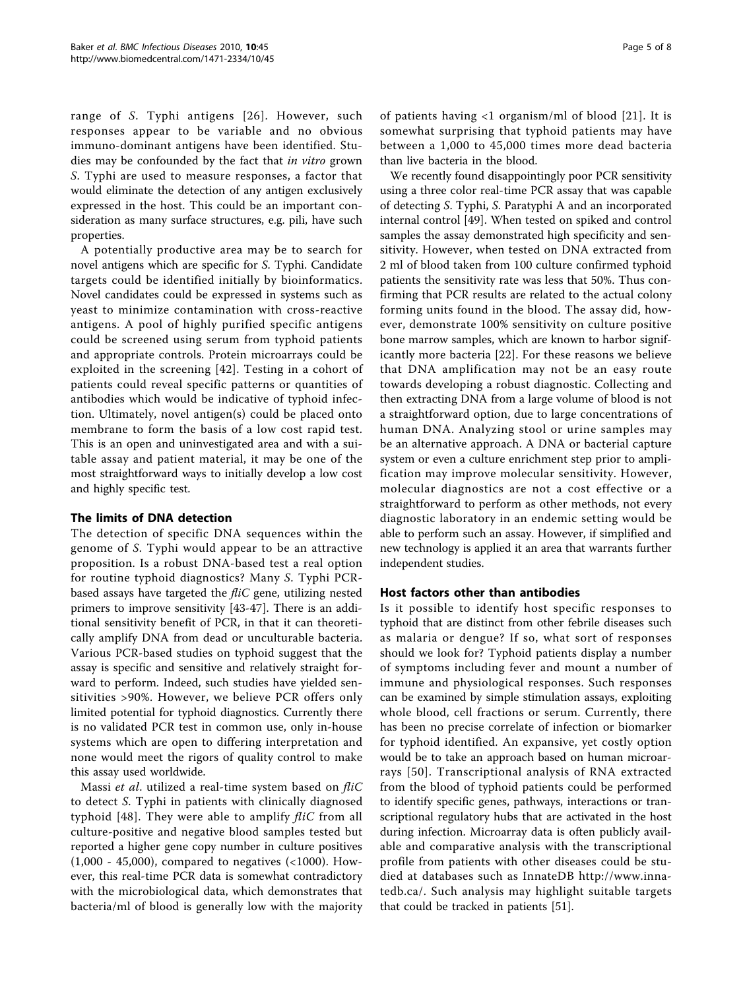range of S. Typhi antigens [[26\]](#page-6-0). However, such responses appear to be variable and no obvious immuno-dominant antigens have been identified. Studies may be confounded by the fact that in vitro grown S. Typhi are used to measure responses, a factor that would eliminate the detection of any antigen exclusively expressed in the host. This could be an important consideration as many surface structures, e.g. pili, have such properties.

A potentially productive area may be to search for novel antigens which are specific for S. Typhi. Candidate targets could be identified initially by bioinformatics. Novel candidates could be expressed in systems such as yeast to minimize contamination with cross-reactive antigens. A pool of highly purified specific antigens could be screened using serum from typhoid patients and appropriate controls. Protein microarrays could be exploited in the screening [[42](#page-7-0)]. Testing in a cohort of patients could reveal specific patterns or quantities of antibodies which would be indicative of typhoid infection. Ultimately, novel antigen(s) could be placed onto membrane to form the basis of a low cost rapid test. This is an open and uninvestigated area and with a suitable assay and patient material, it may be one of the most straightforward ways to initially develop a low cost and highly specific test.

## The limits of DNA detection

The detection of specific DNA sequences within the genome of S. Typhi would appear to be an attractive proposition. Is a robust DNA-based test a real option for routine typhoid diagnostics? Many S. Typhi PCRbased assays have targeted the  $\mathit{filC}$  gene, utilizing nested primers to improve sensitivity [\[43-47](#page-7-0)]. There is an additional sensitivity benefit of PCR, in that it can theoretically amplify DNA from dead or unculturable bacteria. Various PCR-based studies on typhoid suggest that the assay is specific and sensitive and relatively straight forward to perform. Indeed, such studies have yielded sensitivities >90%. However, we believe PCR offers only limited potential for typhoid diagnostics. Currently there is no validated PCR test in common use, only in-house systems which are open to differing interpretation and none would meet the rigors of quality control to make this assay used worldwide.

Massi et al. utilized a real-time system based on fliC to detect S. Typhi in patients with clinically diagnosed typhoid [[48](#page-7-0)]. They were able to amplify  $\operatorname{fl}$ *i* from all culture-positive and negative blood samples tested but reported a higher gene copy number in culture positives (1,000 - 45,000), compared to negatives (<1000). However, this real-time PCR data is somewhat contradictory with the microbiological data, which demonstrates that bacteria/ml of blood is generally low with the majority

of patients having <1 organism/ml of blood [[21](#page-6-0)]. It is somewhat surprising that typhoid patients may have between a 1,000 to 45,000 times more dead bacteria than live bacteria in the blood.

We recently found disappointingly poor PCR sensitivity using a three color real-time PCR assay that was capable of detecting S. Typhi, S. Paratyphi A and an incorporated internal control [\[49](#page-7-0)]. When tested on spiked and control samples the assay demonstrated high specificity and sensitivity. However, when tested on DNA extracted from 2 ml of blood taken from 100 culture confirmed typhoid patients the sensitivity rate was less that 50%. Thus confirming that PCR results are related to the actual colony forming units found in the blood. The assay did, however, demonstrate 100% sensitivity on culture positive bone marrow samples, which are known to harbor significantly more bacteria [[22](#page-6-0)]. For these reasons we believe that DNA amplification may not be an easy route towards developing a robust diagnostic. Collecting and then extracting DNA from a large volume of blood is not a straightforward option, due to large concentrations of human DNA. Analyzing stool or urine samples may be an alternative approach. A DNA or bacterial capture system or even a culture enrichment step prior to amplification may improve molecular sensitivity. However, molecular diagnostics are not a cost effective or a straightforward to perform as other methods, not every diagnostic laboratory in an endemic setting would be able to perform such an assay. However, if simplified and new technology is applied it an area that warrants further independent studies.

## Host factors other than antibodies

Is it possible to identify host specific responses to typhoid that are distinct from other febrile diseases such as malaria or dengue? If so, what sort of responses should we look for? Typhoid patients display a number of symptoms including fever and mount a number of immune and physiological responses. Such responses can be examined by simple stimulation assays, exploiting whole blood, cell fractions or serum. Currently, there has been no precise correlate of infection or biomarker for typhoid identified. An expansive, yet costly option would be to take an approach based on human microarrays [[50](#page-7-0)]. Transcriptional analysis of RNA extracted from the blood of typhoid patients could be performed to identify specific genes, pathways, interactions or transcriptional regulatory hubs that are activated in the host during infection. Microarray data is often publicly available and comparative analysis with the transcriptional profile from patients with other diseases could be studied at databases such as InnateDB [http://www.inna](http://www.innatedb.ca/)[tedb.ca/.](http://www.innatedb.ca/) Such analysis may highlight suitable targets that could be tracked in patients [\[51\]](#page-7-0).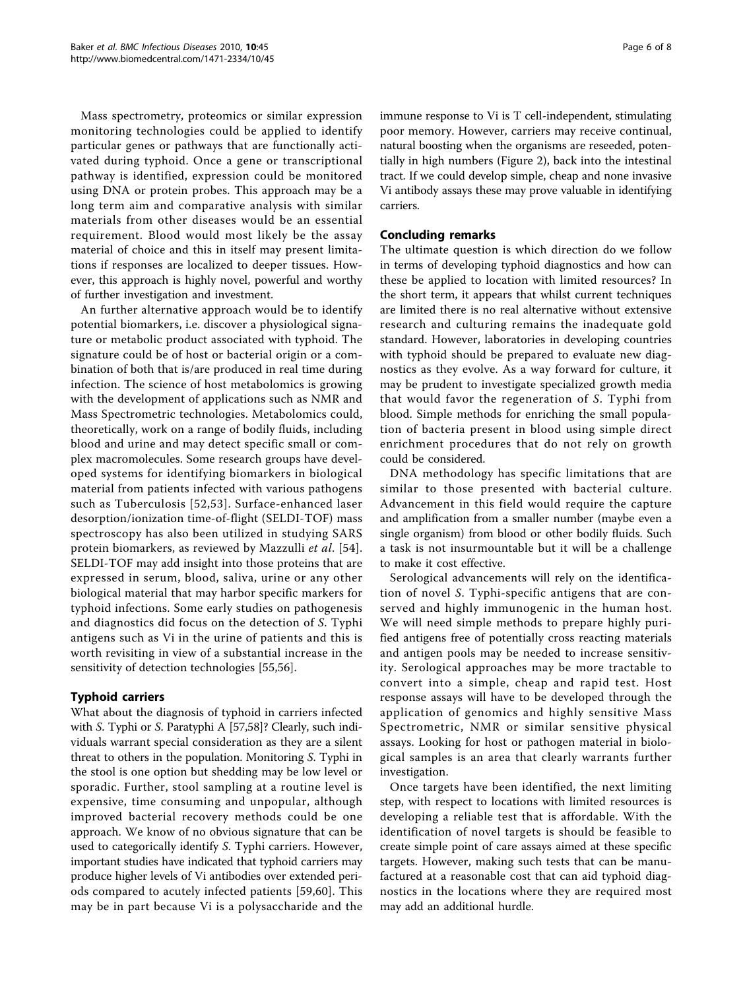Mass spectrometry, proteomics or similar expression monitoring technologies could be applied to identify particular genes or pathways that are functionally activated during typhoid. Once a gene or transcriptional pathway is identified, expression could be monitored using DNA or protein probes. This approach may be a long term aim and comparative analysis with similar materials from other diseases would be an essential requirement. Blood would most likely be the assay material of choice and this in itself may present limitations if responses are localized to deeper tissues. However, this approach is highly novel, powerful and worthy of further investigation and investment.

An further alternative approach would be to identify potential biomarkers, i.e. discover a physiological signature or metabolic product associated with typhoid. The signature could be of host or bacterial origin or a combination of both that is/are produced in real time during infection. The science of host metabolomics is growing with the development of applications such as NMR and Mass Spectrometric technologies. Metabolomics could, theoretically, work on a range of bodily fluids, including blood and urine and may detect specific small or complex macromolecules. Some research groups have developed systems for identifying biomarkers in biological material from patients infected with various pathogens such as Tuberculosis [[52](#page-7-0),[53](#page-7-0)]. Surface-enhanced laser desorption/ionization time-of-flight (SELDI-TOF) mass spectroscopy has also been utilized in studying SARS protein biomarkers, as reviewed by Mazzulli et al. [[54](#page-7-0)]. SELDI-TOF may add insight into those proteins that are expressed in serum, blood, saliva, urine or any other biological material that may harbor specific markers for typhoid infections. Some early studies on pathogenesis and diagnostics did focus on the detection of S. Typhi antigens such as Vi in the urine of patients and this is worth revisiting in view of a substantial increase in the sensitivity of detection technologies [\[55](#page-7-0),[56\]](#page-7-0).

## Typhoid carriers

What about the diagnosis of typhoid in carriers infected with S. Typhi or S. Paratyphi A [[57](#page-7-0),[58](#page-7-0)]? Clearly, such individuals warrant special consideration as they are a silent threat to others in the population. Monitoring S. Typhi in the stool is one option but shedding may be low level or sporadic. Further, stool sampling at a routine level is expensive, time consuming and unpopular, although improved bacterial recovery methods could be one approach. We know of no obvious signature that can be used to categorically identify S. Typhi carriers. However, important studies have indicated that typhoid carriers may produce higher levels of Vi antibodies over extended periods compared to acutely infected patients [[59,60](#page-7-0)]. This may be in part because Vi is a polysaccharide and the immune response to Vi is T cell-independent, stimulating poor memory. However, carriers may receive continual, natural boosting when the organisms are reseeded, potentially in high numbers (Figure [2](#page-2-0)), back into the intestinal tract. If we could develop simple, cheap and none invasive Vi antibody assays these may prove valuable in identifying carriers.

#### Concluding remarks

The ultimate question is which direction do we follow in terms of developing typhoid diagnostics and how can these be applied to location with limited resources? In the short term, it appears that whilst current techniques are limited there is no real alternative without extensive research and culturing remains the inadequate gold standard. However, laboratories in developing countries with typhoid should be prepared to evaluate new diagnostics as they evolve. As a way forward for culture, it may be prudent to investigate specialized growth media that would favor the regeneration of S. Typhi from blood. Simple methods for enriching the small population of bacteria present in blood using simple direct enrichment procedures that do not rely on growth could be considered.

DNA methodology has specific limitations that are similar to those presented with bacterial culture. Advancement in this field would require the capture and amplification from a smaller number (maybe even a single organism) from blood or other bodily fluids. Such a task is not insurmountable but it will be a challenge to make it cost effective.

Serological advancements will rely on the identification of novel S. Typhi-specific antigens that are conserved and highly immunogenic in the human host. We will need simple methods to prepare highly purified antigens free of potentially cross reacting materials and antigen pools may be needed to increase sensitivity. Serological approaches may be more tractable to convert into a simple, cheap and rapid test. Host response assays will have to be developed through the application of genomics and highly sensitive Mass Spectrometric, NMR or similar sensitive physical assays. Looking for host or pathogen material in biological samples is an area that clearly warrants further investigation.

Once targets have been identified, the next limiting step, with respect to locations with limited resources is developing a reliable test that is affordable. With the identification of novel targets is should be feasible to create simple point of care assays aimed at these specific targets. However, making such tests that can be manufactured at a reasonable cost that can aid typhoid diagnostics in the locations where they are required most may add an additional hurdle.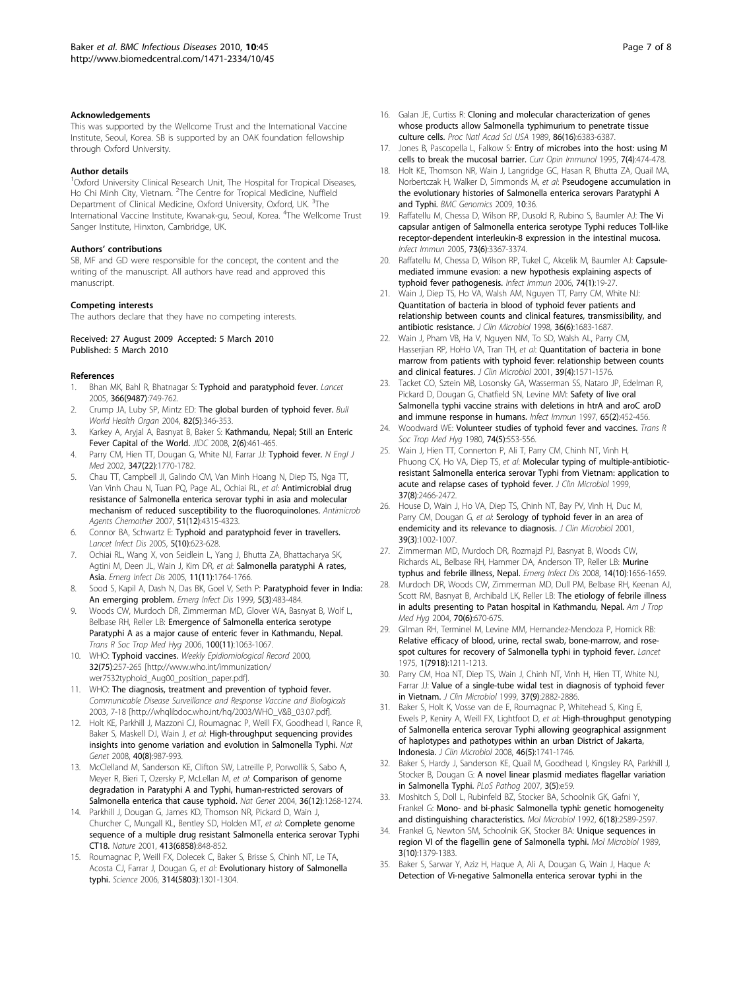#### <span id="page-6-0"></span>Acknowledgements

This was supported by the Wellcome Trust and the International Vaccine Institute, Seoul, Korea. SB is supported by an OAK foundation fellowship through Oxford University.

#### Author details

<sup>1</sup>Oxford University Clinical Research Unit, The Hospital for Tropical Diseases, Ho Chi Minh City, Vietnam. <sup>2</sup>The Centre for Tropical Medicine, Nuffield Department of Clinical Medicine, Oxford University, Oxford, UK. <sup>3</sup>The International Vaccine Institute, Kwanak-gu, Seoul, Korea. <sup>4</sup>The Wellcome Trust Sanger Institute, Hinxton, Cambridge, UK.

#### Authors' contributions

SB, MF and GD were responsible for the concept, the content and the writing of the manuscript. All authors have read and approved this manuscript.

#### Competing interests

The authors declare that they have no competing interests.

#### Received: 27 August 2009 Accepted: 5 March 2010 Published: 5 March 2010

#### References

- 1. Bhan MK, Bahl R, Bhatnagar S: [Typhoid and paratyphoid fever.](http://www.ncbi.nlm.nih.gov/pubmed/16125594?dopt=Abstract) Lancet 2005, 366(9487):749-762.
- 2. Crump JA, Luby SP, Mintz ED: [The global burden of typhoid fever.](http://www.ncbi.nlm.nih.gov/pubmed/15298225?dopt=Abstract) Bull World Health Organ 2004, 82(5):346-353.
- 3. Karkey A, Aryjal A, Basnyat B, Baker S: [Kathmandu, Nepal; Still an Enteric](http://www.ncbi.nlm.nih.gov/pubmed/19745524?dopt=Abstract) [Fever Capital of the World.](http://www.ncbi.nlm.nih.gov/pubmed/19745524?dopt=Abstract) JIDC 2008, 2(6):461-465.
- 4. Parry CM, Hien TT, Dougan G, White NJ, Farrar JJ: [Typhoid fever.](http://www.ncbi.nlm.nih.gov/pubmed/12456854?dopt=Abstract) N Engl J Med 2002, 347(22):1770-1782.
- 5. Chau TT, Campbell JI, Galindo CM, Van Minh Hoang N, Diep TS, Nga TT, Van Vinh Chau N, Tuan PQ, Page AL, Ochiai RL, et al: [Antimicrobial drug](http://www.ncbi.nlm.nih.gov/pubmed/17908946?dopt=Abstract) [resistance of Salmonella enterica serovar typhi in asia and molecular](http://www.ncbi.nlm.nih.gov/pubmed/17908946?dopt=Abstract) [mechanism of reduced susceptibility to the fluoroquinolones.](http://www.ncbi.nlm.nih.gov/pubmed/17908946?dopt=Abstract) Antimicrob Agents Chemother 2007, 51(12):4315-4323.
- 6. Connor BA, Schwartz E: [Typhoid and paratyphoid fever in travellers.](http://www.ncbi.nlm.nih.gov/pubmed/16183516?dopt=Abstract) Lancet Infect Dis 2005, 5(10):623-628.
- 7. Ochiai RL, Wang X, von Seidlein L, Yang J, Bhutta ZA, Bhattacharya SK, Agtini M, Deen JL, Wain J, Kim DR, et al: [Salmonella paratyphi A rates,](http://www.ncbi.nlm.nih.gov/pubmed/16318734?dopt=Abstract) [Asia.](http://www.ncbi.nlm.nih.gov/pubmed/16318734?dopt=Abstract) Emerg Infect Dis 2005, 11(11):1764-1766.
- Sood S, Kapil A, Dash N, Das BK, Goel V, Seth P: [Paratyphoid fever in India:](http://www.ncbi.nlm.nih.gov/pubmed/10341194?dopt=Abstract) [An emerging problem.](http://www.ncbi.nlm.nih.gov/pubmed/10341194?dopt=Abstract) Emerg Infect Dis 1999, 5(3):483-484.
- 9. Woods CW, Murdoch DR, Zimmerman MD, Glover WA, Basnyat B, Wolf L, Belbase RH, Reller LB: [Emergence of Salmonella enterica serotype](http://www.ncbi.nlm.nih.gov/pubmed/16714040?dopt=Abstract) [Paratyphi A as a major cause of enteric fever in Kathmandu, Nepal.](http://www.ncbi.nlm.nih.gov/pubmed/16714040?dopt=Abstract) Trans R Soc Trop Med Hyg 2006, 100(11):1063-1067.
- 10. WHO: Typhoid vaccines. Weekly Epidiomiological Record 2000, 32(75):257-265 [[http://www.who.int/immunization/](http://www.who.int/immunization/wer7532typhoid_Aug00_position_paper.pdf) [wer7532typhoid\\_Aug00\\_position\\_paper.pdf\]](http://www.who.int/immunization/wer7532typhoid_Aug00_position_paper.pdf).
- 11. WHO: The diagnosis, treatment and prevention of typhoid fever. Communicable Disease Surveillance and Response Vaccine and Biologicals 2003, 7-18 [\[http://whqlibdoc.who.int/hq/2003/WHO\\_V&B\\_03.07.pdf\]](http://whqlibdoc.who.int/hq/2003/WHO_V&B_03.07.pdf).
- 12. Holt KE, Parkhill J, Mazzoni CJ, Roumagnac P, Weill FX, Goodhead I, Rance R, Baker S, Maskell DJ, Wain J, et al: [High-throughput sequencing provides](http://www.ncbi.nlm.nih.gov/pubmed/18660809?dopt=Abstract) [insights into genome variation and evolution in Salmonella Typhi.](http://www.ncbi.nlm.nih.gov/pubmed/18660809?dopt=Abstract) Nat Genet 2008, 40(8):987-993.
- 13. McClelland M, Sanderson KE, Clifton SW, Latreille P, Porwollik S, Sabo A, Meyer R, Bieri T, Ozersky P, McLellan M, et al: [Comparison of genome](http://www.ncbi.nlm.nih.gov/pubmed/15531882?dopt=Abstract) [degradation in Paratyphi A and Typhi, human-restricted serovars of](http://www.ncbi.nlm.nih.gov/pubmed/15531882?dopt=Abstract) [Salmonella enterica that cause typhoid.](http://www.ncbi.nlm.nih.gov/pubmed/15531882?dopt=Abstract) Nat Genet 2004, 36(12):1268-1274.
- 14. Parkhill J, Dougan G, James KD, Thomson NR, Pickard D, Wain J, Churcher C, Mungall KL, Bentley SD, Holden MT, et al: [Complete genome](http://www.ncbi.nlm.nih.gov/pubmed/11677608?dopt=Abstract) [sequence of a multiple drug resistant Salmonella enterica serovar Typhi](http://www.ncbi.nlm.nih.gov/pubmed/11677608?dopt=Abstract) [CT18.](http://www.ncbi.nlm.nih.gov/pubmed/11677608?dopt=Abstract) Nature 2001, 413(6858):848-852.
- 15. Roumagnac P, Weill FX, Dolecek C, Baker S, Brisse S, Chinh NT, Le TA, Acosta CJ, Farrar J, Dougan G, et al: [Evolutionary history of Salmonella](http://www.ncbi.nlm.nih.gov/pubmed/17124322?dopt=Abstract) [typhi.](http://www.ncbi.nlm.nih.gov/pubmed/17124322?dopt=Abstract) Science 2006, 314(5803):1301-1304.
- 16. Galan JE, Curtiss R: [Cloning and molecular characterization of genes](http://www.ncbi.nlm.nih.gov/pubmed/2548211?dopt=Abstract) [whose products allow Salmonella typhimurium to penetrate tissue](http://www.ncbi.nlm.nih.gov/pubmed/2548211?dopt=Abstract) [culture cells.](http://www.ncbi.nlm.nih.gov/pubmed/2548211?dopt=Abstract) Proc Natl Acad Sci USA 1989, 86(16):6383-6387.
- 17. Jones B, Pascopella L, Falkow S: [Entry of microbes into the host: using M](http://www.ncbi.nlm.nih.gov/pubmed/7495510?dopt=Abstract) [cells to break the mucosal barrier.](http://www.ncbi.nlm.nih.gov/pubmed/7495510?dopt=Abstract) Curr Opin Immunol 1995, 7(4):474-478.
- 18. Holt KE, Thomson NR, Wain J, Langridge GC, Hasan R, Bhutta ZA, Quail MA, Norbertczak H, Walker D, Simmonds M, et al: [Pseudogene accumulation in](http://www.ncbi.nlm.nih.gov/pubmed/19159446?dopt=Abstract) [the evolutionary histories of Salmonella enterica serovars Paratyphi A](http://www.ncbi.nlm.nih.gov/pubmed/19159446?dopt=Abstract) [and Typhi.](http://www.ncbi.nlm.nih.gov/pubmed/19159446?dopt=Abstract) BMC Genomics 2009, 10:36.
- 19. Raffatellu M, Chessa D, Wilson RP, Dusold R, Rubino S, Baumler AJ: [The Vi](http://www.ncbi.nlm.nih.gov/pubmed/15908363?dopt=Abstract) [capsular antigen of Salmonella enterica serotype Typhi reduces Toll-like](http://www.ncbi.nlm.nih.gov/pubmed/15908363?dopt=Abstract) [receptor-dependent interleukin-8 expression in the intestinal mucosa.](http://www.ncbi.nlm.nih.gov/pubmed/15908363?dopt=Abstract) Infect Immun 2005, 73(6):3367-3374.
- 20. Raffatellu M, Chessa D, Wilson RP, Tukel C, Akcelik M, Baumler AJ: [Capsule](http://www.ncbi.nlm.nih.gov/pubmed/16368953?dopt=Abstract)[mediated immune evasion: a new hypothesis explaining aspects of](http://www.ncbi.nlm.nih.gov/pubmed/16368953?dopt=Abstract) [typhoid fever pathogenesis.](http://www.ncbi.nlm.nih.gov/pubmed/16368953?dopt=Abstract) Infect Immun 2006, 74(1):19-27
- 21. Wain J, Diep TS, Ho VA, Walsh AM, Nguyen TT, Parry CM, White NJ: [Quantitation of bacteria in blood of typhoid fever patients and](http://www.ncbi.nlm.nih.gov/pubmed/9620400?dopt=Abstract) [relationship between counts and clinical features, transmissibility, and](http://www.ncbi.nlm.nih.gov/pubmed/9620400?dopt=Abstract) [antibiotic resistance.](http://www.ncbi.nlm.nih.gov/pubmed/9620400?dopt=Abstract) J Clin Microbiol 1998, 36(6):1683-1687.
- 22. Wain J, Pham VB, Ha V, Nguyen NM, To SD, Walsh AL, Parry CM, Hasserjian RP, HoHo VA, Tran TH, et al: [Quantitation of bacteria in bone](http://www.ncbi.nlm.nih.gov/pubmed/11283089?dopt=Abstract) [marrow from patients with typhoid fever: relationship between counts](http://www.ncbi.nlm.nih.gov/pubmed/11283089?dopt=Abstract) [and clinical features.](http://www.ncbi.nlm.nih.gov/pubmed/11283089?dopt=Abstract) J Clin Microbiol 2001, 39(4):1571-1576.
- 23. Tacket CO, Sztein MB, Losonsky GA, Wasserman SS, Nataro JP, Edelman R, Pickard D, Dougan G, Chatfield SN, Levine MM: [Safety of live oral](http://www.ncbi.nlm.nih.gov/pubmed/9009296?dopt=Abstract) [Salmonella typhi vaccine strains with deletions in htrA and aroC aroD](http://www.ncbi.nlm.nih.gov/pubmed/9009296?dopt=Abstract) [and immune response in humans.](http://www.ncbi.nlm.nih.gov/pubmed/9009296?dopt=Abstract) Infect Immun 1997, 65(2):452-456.
- Woodward WE: [Volunteer studies of typhoid fever and vaccines.](http://www.ncbi.nlm.nih.gov/pubmed/7210105?dopt=Abstract) Trans R Soc Trop Med Hyg 1980, **74(5)**:553-556.
- 25. Wain J, Hien TT, Connerton P, Ali T, Parry CM, Chinh NT, Vinh H, Phuong CX, Ho VA, Diep TS, et al: [Molecular typing of multiple-antibiotic](http://www.ncbi.nlm.nih.gov/pubmed/10405386?dopt=Abstract)[resistant Salmonella enterica serovar Typhi from Vietnam: application to](http://www.ncbi.nlm.nih.gov/pubmed/10405386?dopt=Abstract) [acute and relapse cases of typhoid fever.](http://www.ncbi.nlm.nih.gov/pubmed/10405386?dopt=Abstract) J Clin Microbiol 1999, 37(8):2466-2472.
- 26. House D, Wain J, Ho VA, Diep TS, Chinh NT, Bay PV, Vinh H, Duc M, Parry CM, Dougan G, et al: [Serology of typhoid fever in an area of](http://www.ncbi.nlm.nih.gov/pubmed/11230418?dopt=Abstract) [endemicity and its relevance to diagnosis.](http://www.ncbi.nlm.nih.gov/pubmed/11230418?dopt=Abstract) J Clin Microbiol 2001, 39(3):1002-1007.
- 27. Zimmerman MD, Murdoch DR, Rozmajzl PJ, Basnyat B, Woods CW, Richards AL, Belbase RH, Hammer DA, Anderson TP, Reller LB: [Murine](http://www.ncbi.nlm.nih.gov/pubmed/18826840?dopt=Abstract) [typhus and febrile illness, Nepal.](http://www.ncbi.nlm.nih.gov/pubmed/18826840?dopt=Abstract) Emerg Infect Dis 2008, 14(10):1656-1659.
- 28. Murdoch DR, Woods CW, Zimmerman MD, Dull PM, Belbase RH, Keenan AJ, Scott RM, Basnyat B, Archibald LK, Reller LB: [The etiology of febrile illness](http://www.ncbi.nlm.nih.gov/pubmed/15211012?dopt=Abstract) [in adults presenting to Patan hospital in Kathmandu, Nepal.](http://www.ncbi.nlm.nih.gov/pubmed/15211012?dopt=Abstract) Am J Trop Med Hyg 2004, 70(6):670-675.
- 29. Gilman RH, Terminel M, Levine MM, Hernandez-Mendoza P, Hornick RB: [Relative efficacy of blood, urine, rectal swab, bone-marrow, and rose](http://www.ncbi.nlm.nih.gov/pubmed/48834?dopt=Abstract)[spot cultures for recovery of Salmonella typhi in typhoid fever.](http://www.ncbi.nlm.nih.gov/pubmed/48834?dopt=Abstract) Lancet 1975, 1(7918):1211-1213.
- 30. Parry CM, Hoa NT, Diep TS, Wain J, Chinh NT, Vinh H, Hien TT, White NJ, Farrar JJ: [Value of a single-tube widal test in diagnosis of typhoid fever](http://www.ncbi.nlm.nih.gov/pubmed/10449469?dopt=Abstract) [in Vietnam.](http://www.ncbi.nlm.nih.gov/pubmed/10449469?dopt=Abstract) J Clin Microbiol 1999, 37(9):2882-2886.
- 31. Baker S, Holt K, Vosse van de E, Roumagnac P, Whitehead S, King E, Ewels P, Keniry A, Weill FX, Lightfoot D, et al: [High-throughput genotyping](http://www.ncbi.nlm.nih.gov/pubmed/18322069?dopt=Abstract) [of Salmonella enterica serovar Typhi allowing geographical assignment](http://www.ncbi.nlm.nih.gov/pubmed/18322069?dopt=Abstract) [of haplotypes and pathotypes within an urban District of Jakarta,](http://www.ncbi.nlm.nih.gov/pubmed/18322069?dopt=Abstract) [Indonesia.](http://www.ncbi.nlm.nih.gov/pubmed/18322069?dopt=Abstract) J Clin Microbiol 2008, 46(5):1741-1746.
- 32. Baker S, Hardy J, Sanderson KE, Quail M, Goodhead I, Kingsley RA, Parkhill J, Stocker B, Dougan G: [A novel linear plasmid mediates flagellar variation](http://www.ncbi.nlm.nih.gov/pubmed/17500588?dopt=Abstract) [in Salmonella Typhi.](http://www.ncbi.nlm.nih.gov/pubmed/17500588?dopt=Abstract) PLoS Pathog 2007, 3(5):e59.
- 33. Moshitch S, Doll L, Rubinfeld BZ, Stocker BA, Schoolnik GK, Gafni Y, Frankel G: [Mono- and bi-phasic Salmonella typhi: genetic homogeneity](http://www.ncbi.nlm.nih.gov/pubmed/1360138?dopt=Abstract) [and distinguishing characteristics.](http://www.ncbi.nlm.nih.gov/pubmed/1360138?dopt=Abstract) Mol Microbiol 1992, 6(18):2589-2597.
- 34. Frankel G, Newton SM, Schoolnik GK, Stocker BA: [Unique sequences in](http://www.ncbi.nlm.nih.gov/pubmed/2615651?dopt=Abstract) [region VI of the flagellin gene of Salmonella typhi.](http://www.ncbi.nlm.nih.gov/pubmed/2615651?dopt=Abstract) Mol Microbiol 1989, 3(10):1379-1383.
- Baker S, Sarwar Y, Aziz H, Haque A, Ali A, Dougan G, Wain J, Haque A: [Detection of Vi-negative Salmonella enterica serovar typhi in the](http://www.ncbi.nlm.nih.gov/pubmed/16145086?dopt=Abstract)